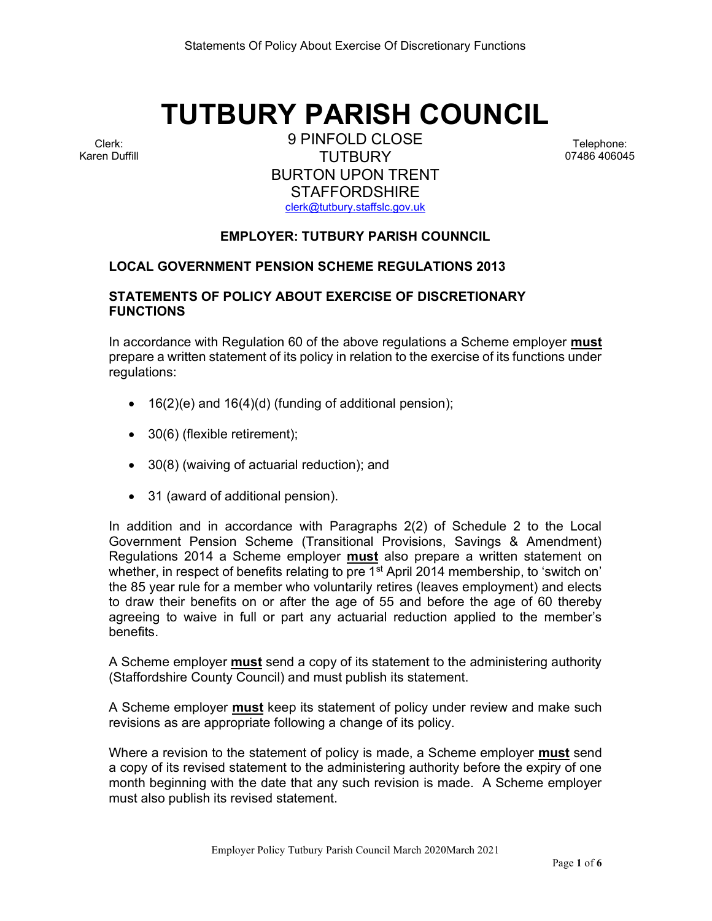# TUTBURY PARISH COUNCIL

Clerk: Karen Duffill

9 PINFOLD CLOSE **TUTBURY** BURTON UPON TRENT **STAFFORDSHIRE** clerk@tutbury.staffslc.gov.uk

Telephone: 07486 406045

# EMPLOYER: TUTBURY PARISH COUNNCIL

#### LOCAL GOVERNMENT PENSION SCHEME REGULATIONS 2013

# STATEMENTS OF POLICY ABOUT EXERCISE OF DISCRETIONARY FUNCTIONS

In accordance with Regulation 60 of the above regulations a Scheme employer **must** prepare a written statement of its policy in relation to the exercise of its functions under regulations:

- $\bullet$  16(2)(e) and 16(4)(d) (funding of additional pension);
- 30(6) (flexible retirement);
- 30(8) (waiving of actuarial reduction); and
- 31 (award of additional pension).

In addition and in accordance with Paragraphs 2(2) of Schedule 2 to the Local Government Pension Scheme (Transitional Provisions, Savings & Amendment) Regulations 2014 a Scheme employer must also prepare a written statement on whether, in respect of benefits relating to pre 1<sup>st</sup> April 2014 membership, to 'switch on' the 85 year rule for a member who voluntarily retires (leaves employment) and elects to draw their benefits on or after the age of 55 and before the age of 60 thereby agreeing to waive in full or part any actuarial reduction applied to the member's benefits.

A Scheme employer **must** send a copy of its statement to the administering authority (Staffordshire County Council) and must publish its statement.

A Scheme employer **must** keep its statement of policy under review and make such revisions as are appropriate following a change of its policy.

Where a revision to the statement of policy is made, a Scheme employer **must** send a copy of its revised statement to the administering authority before the expiry of one month beginning with the date that any such revision is made. A Scheme employer must also publish its revised statement.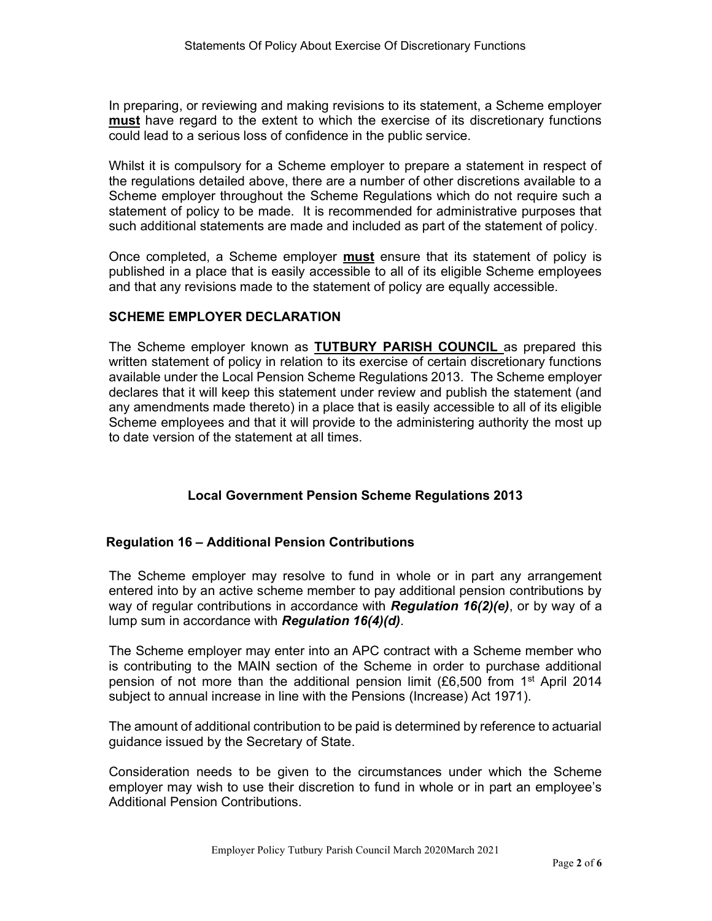In preparing, or reviewing and making revisions to its statement, a Scheme employer must have regard to the extent to which the exercise of its discretionary functions could lead to a serious loss of confidence in the public service.

Whilst it is compulsory for a Scheme employer to prepare a statement in respect of the regulations detailed above, there are a number of other discretions available to a Scheme employer throughout the Scheme Regulations which do not require such a statement of policy to be made. It is recommended for administrative purposes that such additional statements are made and included as part of the statement of policy.

Once completed, a Scheme employer must ensure that its statement of policy is published in a place that is easily accessible to all of its eligible Scheme employees and that any revisions made to the statement of policy are equally accessible.

# SCHEME EMPLOYER DECLARATION

The Scheme employer known as TUTBURY PARISH COUNCIL as prepared this written statement of policy in relation to its exercise of certain discretionary functions available under the Local Pension Scheme Regulations 2013. The Scheme employer declares that it will keep this statement under review and publish the statement (and any amendments made thereto) in a place that is easily accessible to all of its eligible Scheme employees and that it will provide to the administering authority the most up to date version of the statement at all times.

# Local Government Pension Scheme Regulations 2013

# Regulation 16 – Additional Pension Contributions

The Scheme employer may resolve to fund in whole or in part any arrangement entered into by an active scheme member to pay additional pension contributions by way of regular contributions in accordance with Regulation 16(2)(e), or by way of a lump sum in accordance with **Regulation 16(4)(d)**.

The Scheme employer may enter into an APC contract with a Scheme member who is contributing to the MAIN section of the Scheme in order to purchase additional pension of not more than the additional pension limit (£6,500 from 1<sup>st</sup> April 2014 subject to annual increase in line with the Pensions (Increase) Act 1971).

The amount of additional contribution to be paid is determined by reference to actuarial guidance issued by the Secretary of State.

Consideration needs to be given to the circumstances under which the Scheme employer may wish to use their discretion to fund in whole or in part an employee's Additional Pension Contributions.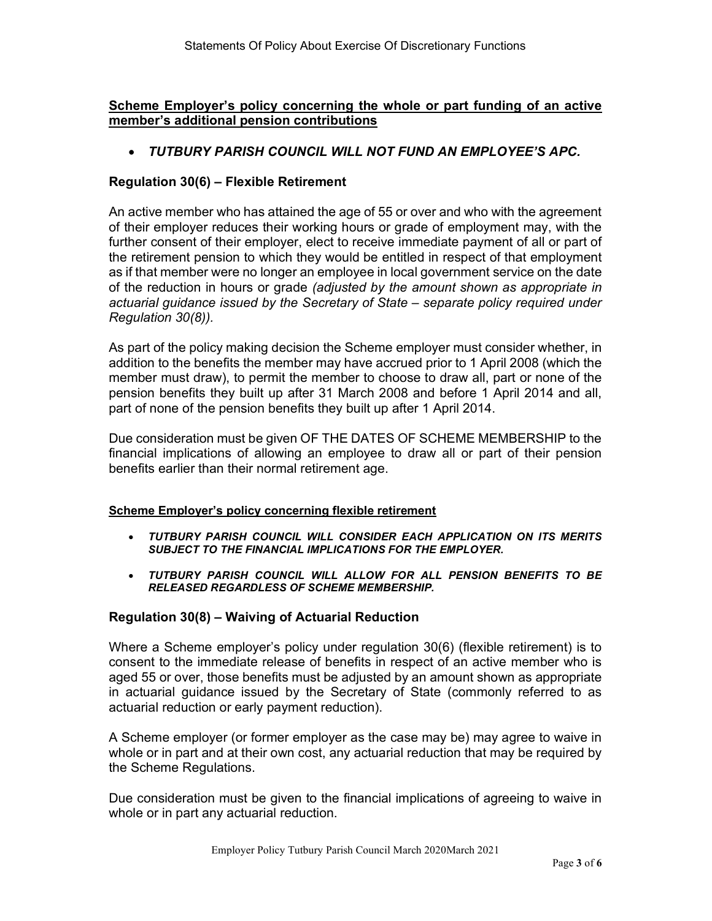Scheme Employer's policy concerning the whole or part funding of an active member's additional pension contributions

TUTBURY PARISH COUNCIL WILL NOT FUND AN EMPLOYEE'S APC.

# Regulation 30(6) – Flexible Retirement

An active member who has attained the age of 55 or over and who with the agreement of their employer reduces their working hours or grade of employment may, with the further consent of their employer, elect to receive immediate payment of all or part of the retirement pension to which they would be entitled in respect of that employment as if that member were no longer an employee in local government service on the date of the reduction in hours or grade (adjusted by the amount shown as appropriate in actuarial guidance issued by the Secretary of State – separate policy required under Regulation 30(8)).

As part of the policy making decision the Scheme employer must consider whether, in addition to the benefits the member may have accrued prior to 1 April 2008 (which the member must draw), to permit the member to choose to draw all, part or none of the pension benefits they built up after 31 March 2008 and before 1 April 2014 and all, part of none of the pension benefits they built up after 1 April 2014.

Due consideration must be given OF THE DATES OF SCHEME MEMBERSHIP to the financial implications of allowing an employee to draw all or part of their pension benefits earlier than their normal retirement age.

#### Scheme Employer's policy concerning flexible retirement

- TUTBURY PARISH COUNCIL WILL CONSIDER EACH APPLICATION ON ITS MERITS SUBJECT TO THE FINANCIAL IMPLICATIONS FOR THE EMPLOYER.
- TUTBURY PARISH COUNCIL WILL ALLOW FOR ALL PENSION BENEFITS TO BE RELEASED REGARDLESS OF SCHEME MEMBERSHIP.

# Regulation 30(8) – Waiving of Actuarial Reduction

Where a Scheme employer's policy under regulation 30(6) (flexible retirement) is to consent to the immediate release of benefits in respect of an active member who is aged 55 or over, those benefits must be adjusted by an amount shown as appropriate in actuarial guidance issued by the Secretary of State (commonly referred to as actuarial reduction or early payment reduction).

A Scheme employer (or former employer as the case may be) may agree to waive in whole or in part and at their own cost, any actuarial reduction that may be required by the Scheme Regulations.

Due consideration must be given to the financial implications of agreeing to waive in whole or in part any actuarial reduction.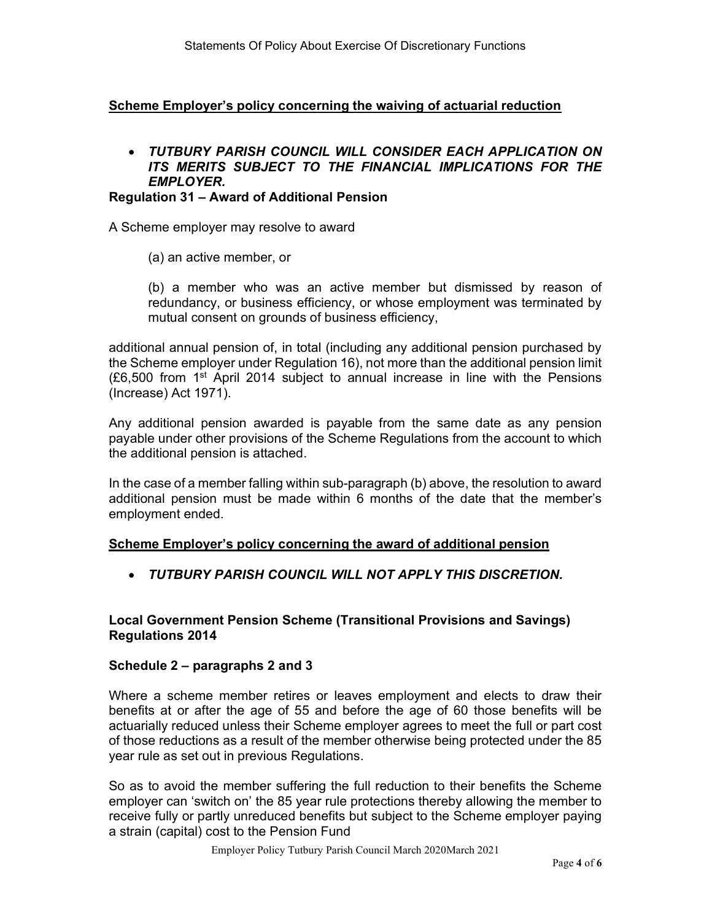# Scheme Employer's policy concerning the waiving of actuarial reduction

# TUTBURY PARISH COUNCIL WILL CONSIDER EACH APPLICATION ON ITS MERITS SUBJECT TO THE FINANCIAL IMPLICATIONS FOR THE EMPLOYER.

#### Regulation 31 – Award of Additional Pension

A Scheme employer may resolve to award

(a) an active member, or

(b) a member who was an active member but dismissed by reason of redundancy, or business efficiency, or whose employment was terminated by mutual consent on grounds of business efficiency,

additional annual pension of, in total (including any additional pension purchased by the Scheme employer under Regulation 16), not more than the additional pension limit  $(E6,500$  from 1<sup>st</sup> April 2014 subject to annual increase in line with the Pensions (Increase) Act 1971).

Any additional pension awarded is payable from the same date as any pension payable under other provisions of the Scheme Regulations from the account to which the additional pension is attached.

In the case of a member falling within sub-paragraph (b) above, the resolution to award additional pension must be made within 6 months of the date that the member's employment ended.

# Scheme Employer's policy concerning the award of additional pension

TUTBURY PARISH COUNCIL WILL NOT APPLY THIS DISCRETION.

# Local Government Pension Scheme (Transitional Provisions and Savings) Regulations 2014

# Schedule 2 – paragraphs 2 and 3

Where a scheme member retires or leaves employment and elects to draw their benefits at or after the age of 55 and before the age of 60 those benefits will be actuarially reduced unless their Scheme employer agrees to meet the full or part cost of those reductions as a result of the member otherwise being protected under the 85 year rule as set out in previous Regulations.

So as to avoid the member suffering the full reduction to their benefits the Scheme employer can 'switch on' the 85 year rule protections thereby allowing the member to receive fully or partly unreduced benefits but subject to the Scheme employer paying a strain (capital) cost to the Pension Fund

Employer Policy Tutbury Parish Council March 2020March 2021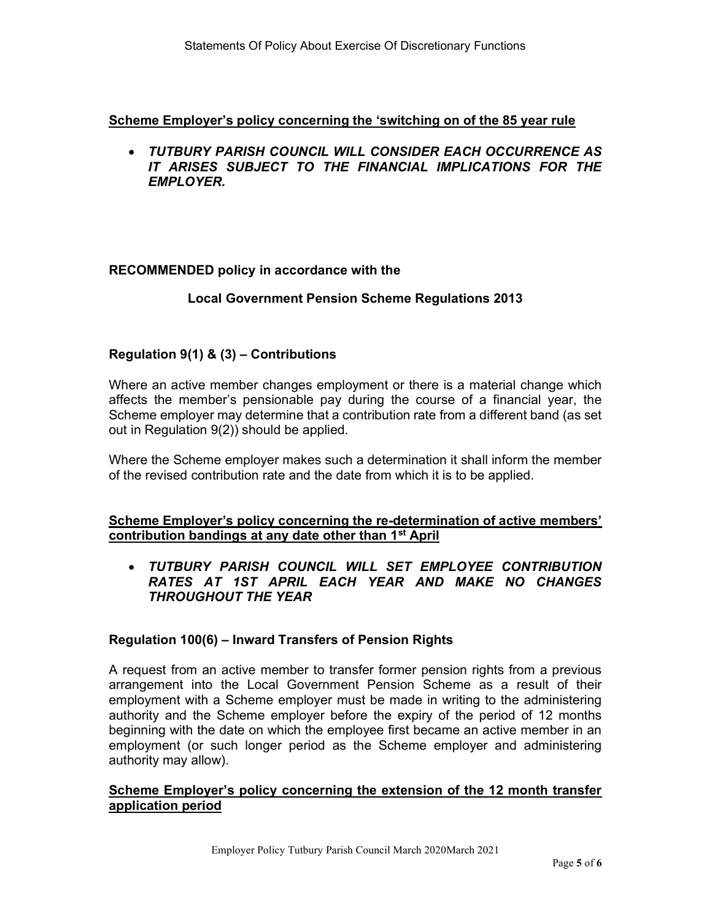Scheme Employer's policy concerning the 'switching on of the 85 year rule

 TUTBURY PARISH COUNCIL WILL CONSIDER EACH OCCURRENCE AS IT ARISES SUBJECT TO THE FINANCIAL IMPLICATIONS FOR THE **EMPLOYER.** 

# RECOMMENDED policy in accordance with the

# Local Government Pension Scheme Regulations 2013

# Regulation 9(1) & (3) – Contributions

Where an active member changes employment or there is a material change which affects the member's pensionable pay during the course of a financial year, the Scheme employer may determine that a contribution rate from a different band (as set out in Regulation 9(2)) should be applied.

Where the Scheme employer makes such a determination it shall inform the member of the revised contribution rate and the date from which it is to be applied.

# Scheme Employer's policy concerning the re-determination of active members' contribution bandings at any date other than 1st April

# TUTBURY PARISH COUNCIL WILL SET EMPLOYEE CONTRIBUTION RATES AT 1ST APRIL EACH YEAR AND MAKE NO CHANGES THROUGHOUT THE YEAR

# Regulation 100(6) – Inward Transfers of Pension Rights

A request from an active member to transfer former pension rights from a previous arrangement into the Local Government Pension Scheme as a result of their employment with a Scheme employer must be made in writing to the administering authority and the Scheme employer before the expiry of the period of 12 months beginning with the date on which the employee first became an active member in an employment (or such longer period as the Scheme employer and administering authority may allow).

# Scheme Employer's policy concerning the extension of the 12 month transfer application period